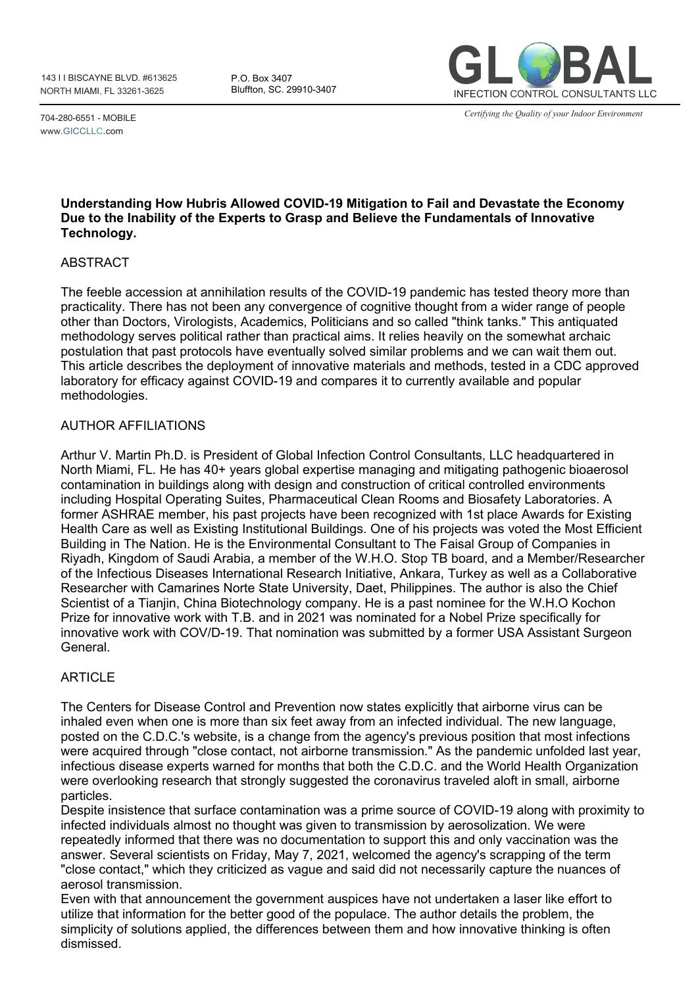NORTH MIAMI, FL 33261- 3625 143 I I BISCAYNE BLVD. #613625 P.O. Box 3407 Bluffton, SC. 29910-3407



*Certifying the Quality of your Indoor Environment*

704-280-6551 - MOBILE [www.GICCLLC.com](http://www.giccllc.com/)

#### **Understanding How Hubris Allowed COVID-19 Mitigation to Fail and Devastate the Economy Due to the Inability of the Experts to Grasp and Believe the Fundamentals of Innovative Technology.**

### ABSTRACT

The feeble accession at annihilation results of the COVID-19 pandemic has tested theory more than practicality. There has not been any convergence of cognitive thought from a wider range of people other than Doctors, Virologists, Academics, Politicians and so called "think tanks." This antiquated methodology serves political rather than practical aims. It relies heavily on the somewhat archaic postulation that past protocols have eventually solved similar problems and we can wait them out. This article describes the deployment of innovative materials and methods, tested in a CDC approved laboratory for efficacy against COVID-19 and compares it to currently available and popular methodologies.

## AUTHOR AFFILIATIONS

Arthur V. Martin Ph.D. is President of Global Infection Control Consultants, LLC headquartered in North Miami, FL. He has 40+ years global expertise managing and mitigating pathogenic bioaerosol contamination in buildings along with design and construction of critical controlled environments including Hospital Operating Suites, Pharmaceutical Clean Rooms and Biosafety Laboratories. A former ASHRAE member, his past projects have been recognized with 1st place Awards for Existing Health Care as well as Existing Institutional Buildings. One of his projects was voted the Most Efficient Building in The Nation. He is the Environmental Consultant to The Faisal Group of Companies in Riyadh, Kingdom of Saudi Arabia, a member of the W.H.O. Stop TB board, and a Member/Researcher of the Infectious Diseases International Research Initiative, Ankara, Turkey as well as a Collaborative Researcher with Camarines Norte State University, Daet, Philippines. The author is also the Chief Scientist of a Tianjin, China Biotechnology company. He is a past nominee for the W.H.O Kochon Prize for innovative work with T.B. and in 2021 was nominated for a Nobel Prize specifically for innovative work with COV/D-19. That nomination was submitted by a former USA Assistant Surgeon General.

# **ARTICLE**

The Centers for Disease Control and Prevention now states explicitly that airborne virus can be inhaled even when one is more than six feet away from an infected individual. The new language, posted on the C.D.C.'s website, is a change from the agency's previous position that most infections were acquired through "close contact, not airborne transmission." As the pandemic unfolded last year, infectious disease experts warned for months that both the C.D.C. and the World Health Organization were overlooking research that strongly suggested the coronavirus traveled aloft in small, airborne particles.

Despite insistence that surface contamination was a prime source of COVID-19 along with proximity to infected individuals almost no thought was given to transmission by aerosolization. We were repeatedly informed that there was no documentation to support this and only vaccination was the answer. Several scientists on Friday, May 7, 2021, welcomed the agency's scrapping of the term "close contact," which they criticized as vague and said did not necessarily capture the nuances of aerosol transmission.

Even with that announcement the government auspices have not undertaken a laser like effort to utilize that information for the better good of the populace. The author details the problem, the simplicity of solutions applied, the differences between them and how innovative thinking is often dismissed.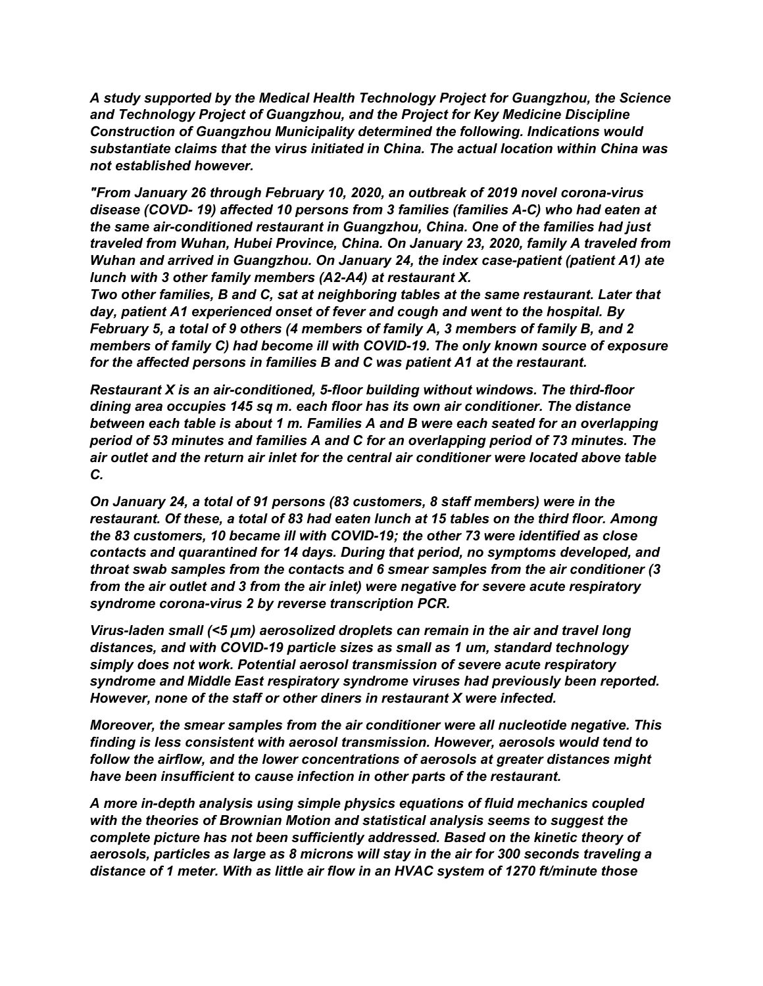*A study supported by the Medical Health Technology Project for Guangzhou, the Science and Technology Project of Guangzhou, and the Project for Key Medicine Discipline Construction of Guangzhou Municipality determined the following. Indications would substantiate claims that the virus initiated in China. The actual location within China was not established however.* 

*"From January 26 through February 10, 2020, an outbreak of 2019 novel corona-virus disease (COVD- 19) affected 10 persons from 3 families (families A-C) who had eaten at the same air-conditioned restaurant in Guangzhou, China. One of the families had just traveled from Wuhan, Hubei Province, China. On January 23, 2020, family A traveled from Wuhan and arrived in Guangzhou. On January 24, the index case-patient (patient A1) ate lunch with 3 other family members (A2-A4) at restaurant X.* 

*Two other families, B and C, sat at neighboring tables at the same restaurant. Later that day, patient A1 experienced onset of fever and cough and went to the hospital. By February 5, a total of 9 others (4 members of family A, 3 members of family B, and 2 members of family C) had become ill with COVID-19. The only known source of exposure for the affected persons in families B and C was patient A1 at the restaurant.* 

*Restaurant X is an air-conditioned, 5-floor building without windows. The third-floor dining area occupies 145 sq m. each floor has its own air conditioner. The distance between each table is about 1 m. Families A and B were each seated for an overlapping period of 53 minutes and families A and C for an overlapping period of 73 minutes. The air outlet and the return air inlet for the central air conditioner were located above table C.* 

*On January 24, a total of 91 persons (83 customers, 8 staff members) were in the restaurant. Of these, a total of 83 had eaten lunch at 15 tables on the third floor. Among the 83 customers, 10 became ill with COVID-19; the other 73 were identified as close contacts and quarantined for 14 days. During that period, no symptoms developed, and throat swab samples from the contacts and 6 smear samples from the air conditioner (3 from the air outlet and 3 from the air inlet) were negative for severe acute respiratory syndrome corona-virus 2 by reverse transcription PCR.* 

*Virus-laden small (<5 µm) aerosolized droplets can remain in the air and travel long distances, and with COVID-19 particle sizes as small as 1 um, standard technology simply does not work. Potential aerosol transmission of severe acute respiratory syndrome and Middle East respiratory syndrome viruses had previously been reported. However, none of the staff or other diners in restaurant X were infected.*

*Moreover, the smear samples from the air conditioner were all nucleotide negative. This finding is less consistent with aerosol transmission. However, aerosols would tend to follow the airflow, and the lower concentrations of aerosols at greater distances might have been insufficient to cause infection in other parts of the restaurant.*

*A more in-depth analysis using simple physics equations of fluid mechanics coupled with the theories of Brownian Motion and statistical analysis seems to suggest the complete picture has not been sufficiently addressed. Based on the kinetic theory of aerosols, particles as large as 8 microns will stay in the air for 300 seconds traveling a distance of 1 meter. With as little air flow in an HVAC system of 1270 ft/minute those*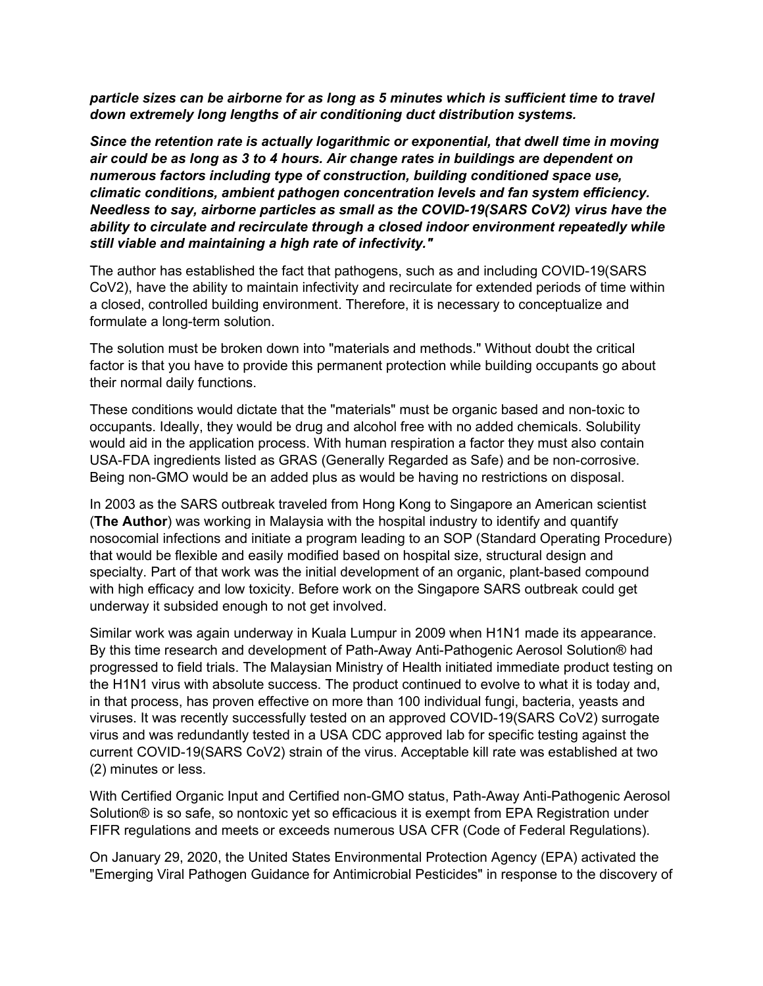*particle sizes can be airborne for as long as 5 minutes which is sufficient time to travel down extremely long lengths of air conditioning duct distribution systems.*

*Since the retention rate is actually logarithmic or exponential, that dwell time in moving air could be as long as 3 to 4 hours. Air change rates in buildings are dependent on numerous factors including type of construction, building conditioned space use, climatic conditions, ambient pathogen concentration levels and fan system efficiency. Needless to say, airborne particles as small as the COVID-19(SARS CoV2) virus have the ability to circulate and recirculate through a closed indoor environment repeatedly while still viable and maintaining a high rate of infectivity."*

The author has established the fact that pathogens, such as and including COVID-19(SARS CoV2), have the ability to maintain infectivity and recirculate for extended periods of time within a closed, controlled building environment. Therefore, it is necessary to conceptualize and formulate a long-term solution.

The solution must be broken down into "materials and methods." Without doubt the critical factor is that you have to provide this permanent protection while building occupants go about their normal daily functions.

These conditions would dictate that the "materials" must be organic based and non-toxic to occupants. Ideally, they would be drug and alcohol free with no added chemicals. Solubility would aid in the application process. With human respiration a factor they must also contain USA-FDA ingredients listed as GRAS (Generally Regarded as Safe) and be non-corrosive. Being non-GMO would be an added plus as would be having no restrictions on disposal.

In 2003 as the SARS outbreak traveled from Hong Kong to Singapore an American scientist (**The Author**) was working in Malaysia with the hospital industry to identify and quantify nosocomial infections and initiate a program leading to an SOP (Standard Operating Procedure) that would be flexible and easily modified based on hospital size, structural design and specialty. Part of that work was the initial development of an organic, plant-based compound with high efficacy and low toxicity. Before work on the Singapore SARS outbreak could get underway it subsided enough to not get involved.

Similar work was again underway in Kuala Lumpur in 2009 when H1N1 made its appearance. By this time research and development of Path-Away Anti-Pathogenic Aerosol Solution® had progressed to field trials. The Malaysian Ministry of Health initiated immediate product testing on the H1N1 virus with absolute success. The product continued to evolve to what it is today and, in that process, has proven effective on more than 100 individual fungi, bacteria, yeasts and viruses. It was recently successfully tested on an approved COVID-19(SARS CoV2) surrogate virus and was redundantly tested in a USA CDC approved lab for specific testing against the current COVID-19(SARS CoV2) strain of the virus. Acceptable kill rate was established at two (2) minutes or less.

With Certified Organic Input and Certified non-GMO status, Path-Away Anti-Pathogenic Aerosol Solution® is so safe, so nontoxic yet so efficacious it is exempt from EPA Registration under FIFR regulations and meets or exceeds numerous USA CFR (Code of Federal Regulations).

On January 29, 2020, the United States Environmental Protection Agency (EPA) activated the "Emerging Viral Pathogen Guidance for Antimicrobial Pesticides" in response to the discovery of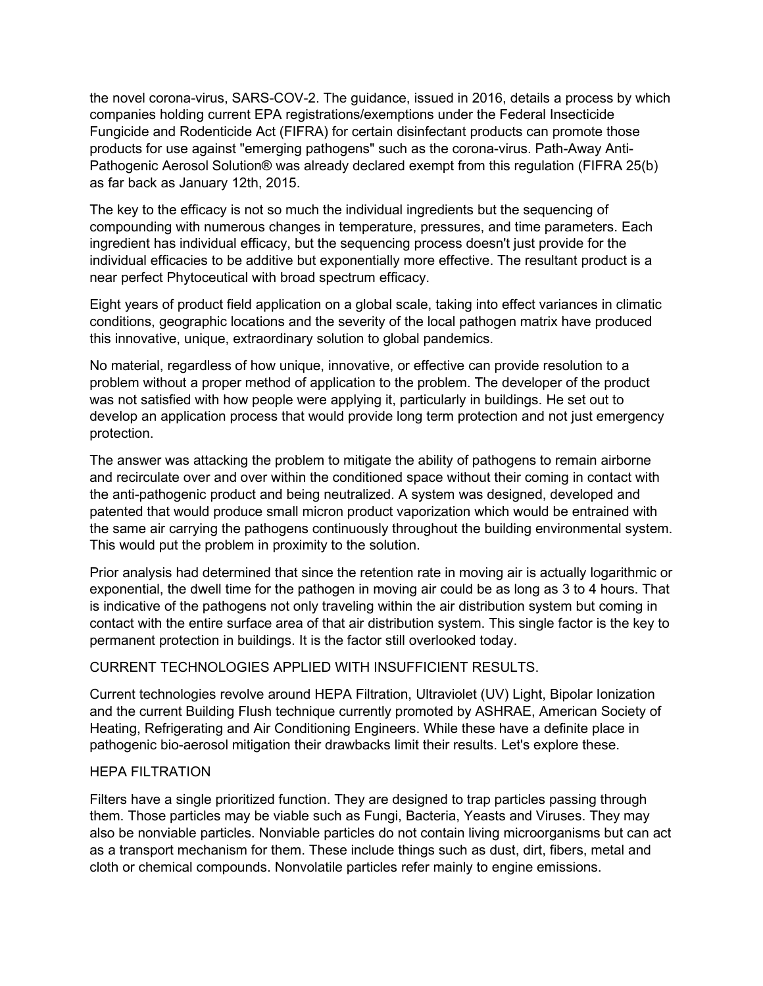the novel corona-virus, SARS-COV-2. The guidance, issued in 2016, details a process by which companies holding current EPA registrations/exemptions under the Federal Insecticide Fungicide and Rodenticide Act (FIFRA) for certain disinfectant products can promote those products for use against "emerging pathogens" such as the corona-virus. Path-Away Anti-Pathogenic Aerosol Solution® was already declared exempt from this regulation (FIFRA 25(b) as far back as January 12th, 2015.

The key to the efficacy is not so much the individual ingredients but the sequencing of compounding with numerous changes in temperature, pressures, and time parameters. Each ingredient has individual efficacy, but the sequencing process doesn't just provide for the individual efficacies to be additive but exponentially more effective. The resultant product is a near perfect Phytoceutical with broad spectrum efficacy.

Eight years of product field application on a global scale, taking into effect variances in climatic conditions, geographic locations and the severity of the local pathogen matrix have produced this innovative, unique, extraordinary solution to global pandemics.

No material, regardless of how unique, innovative, or effective can provide resolution to a problem without a proper method of application to the problem. The developer of the product was not satisfied with how people were applying it, particularly in buildings. He set out to develop an application process that would provide long term protection and not just emergency protection.

The answer was attacking the problem to mitigate the ability of pathogens to remain airborne and recirculate over and over within the conditioned space without their coming in contact with the anti-pathogenic product and being neutralized. A system was designed, developed and patented that would produce small micron product vaporization which would be entrained with the same air carrying the pathogens continuously throughout the building environmental system. This would put the problem in proximity to the solution.

Prior analysis had determined that since the retention rate in moving air is actually logarithmic or exponential, the dwell time for the pathogen in moving air could be as long as 3 to 4 hours. That is indicative of the pathogens not only traveling within the air distribution system but coming in contact with the entire surface area of that air distribution system. This single factor is the key to permanent protection in buildings. It is the factor still overlooked today.

### CURRENT TECHNOLOGIES APPLIED WITH INSUFFICIENT RESULTS.

Current technologies revolve around HEPA Filtration, Ultraviolet (UV) Light, Bipolar Ionization and the current Building Flush technique currently promoted by ASHRAE, American Society of Heating, Refrigerating and Air Conditioning Engineers. While these have a definite place in pathogenic bio-aerosol mitigation their drawbacks limit their results. Let's explore these.

### HEPA FILTRATION

Filters have a single prioritized function. They are designed to trap particles passing through them. Those particles may be viable such as Fungi, Bacteria, Yeasts and Viruses. They may also be nonviable particles. Nonviable particles do not contain living microorganisms but can act as a transport mechanism for them. These include things such as dust, dirt, fibers, metal and cloth or chemical compounds. Nonvolatile particles refer mainly to engine emissions.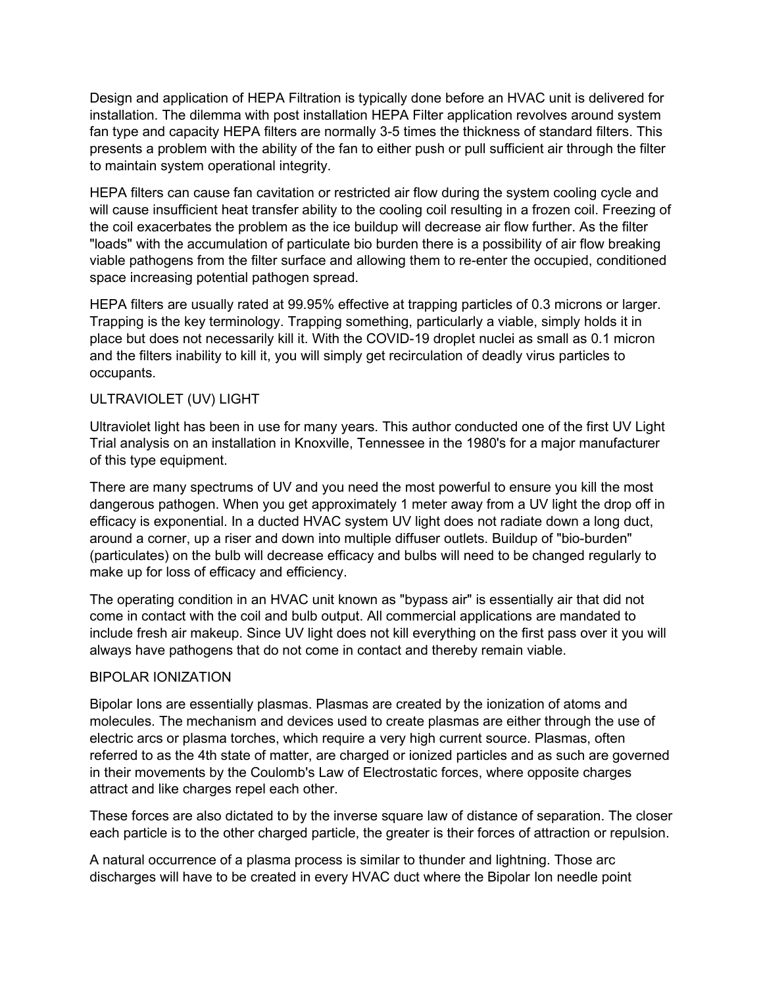Design and application of HEPA Filtration is typically done before an HVAC unit is delivered for installation. The dilemma with post installation HEPA Filter application revolves around system fan type and capacity HEPA filters are normally 3-5 times the thickness of standard filters. This presents a problem with the ability of the fan to either push or pull sufficient air through the filter to maintain system operational integrity.

HEPA filters can cause fan cavitation or restricted air flow during the system cooling cycle and will cause insufficient heat transfer ability to the cooling coil resulting in a frozen coil. Freezing of the coil exacerbates the problem as the ice buildup will decrease air flow further. As the filter "loads" with the accumulation of particulate bio burden there is a possibility of air flow breaking viable pathogens from the filter surface and allowing them to re-enter the occupied, conditioned space increasing potential pathogen spread.

HEPA filters are usually rated at 99.95% effective at trapping particles of 0.3 microns or larger. Trapping is the key terminology. Trapping something, particularly a viable, simply holds it in place but does not necessarily kill it. With the COVID-19 droplet nuclei as small as 0.1 micron and the filters inability to kill it, you will simply get recirculation of deadly virus particles to occupants.

## ULTRAVIOLET (UV) LIGHT

Ultraviolet light has been in use for many years. This author conducted one of the first UV Light Trial analysis on an installation in Knoxville, Tennessee in the 1980's for a major manufacturer of this type equipment.

There are many spectrums of UV and you need the most powerful to ensure you kill the most dangerous pathogen. When you get approximately 1 meter away from a UV light the drop off in efficacy is exponential. In a ducted HVAC system UV light does not radiate down a long duct, around a corner, up a riser and down into multiple diffuser outlets. Buildup of "bio-burden" (particulates) on the bulb will decrease efficacy and bulbs will need to be changed regularly to make up for loss of efficacy and efficiency.

The operating condition in an HVAC unit known as "bypass air" is essentially air that did not come in contact with the coil and bulb output. All commercial applications are mandated to include fresh air makeup. Since UV light does not kill everything on the first pass over it you will always have pathogens that do not come in contact and thereby remain viable.

### BIPOLAR IONIZATION

Bipolar Ions are essentially plasmas. Plasmas are created by the ionization of atoms and molecules. The mechanism and devices used to create plasmas are either through the use of electric arcs or plasma torches, which require a very high current source. Plasmas, often referred to as the 4th state of matter, are charged or ionized particles and as such are governed in their movements by the Coulomb's Law of Electrostatic forces, where opposite charges attract and like charges repel each other.

These forces are also dictated to by the inverse square law of distance of separation. The closer each particle is to the other charged particle, the greater is their forces of attraction or repulsion.

A natural occurrence of a plasma process is similar to thunder and lightning. Those arc discharges will have to be created in every HVAC duct where the Bipolar Ion needle point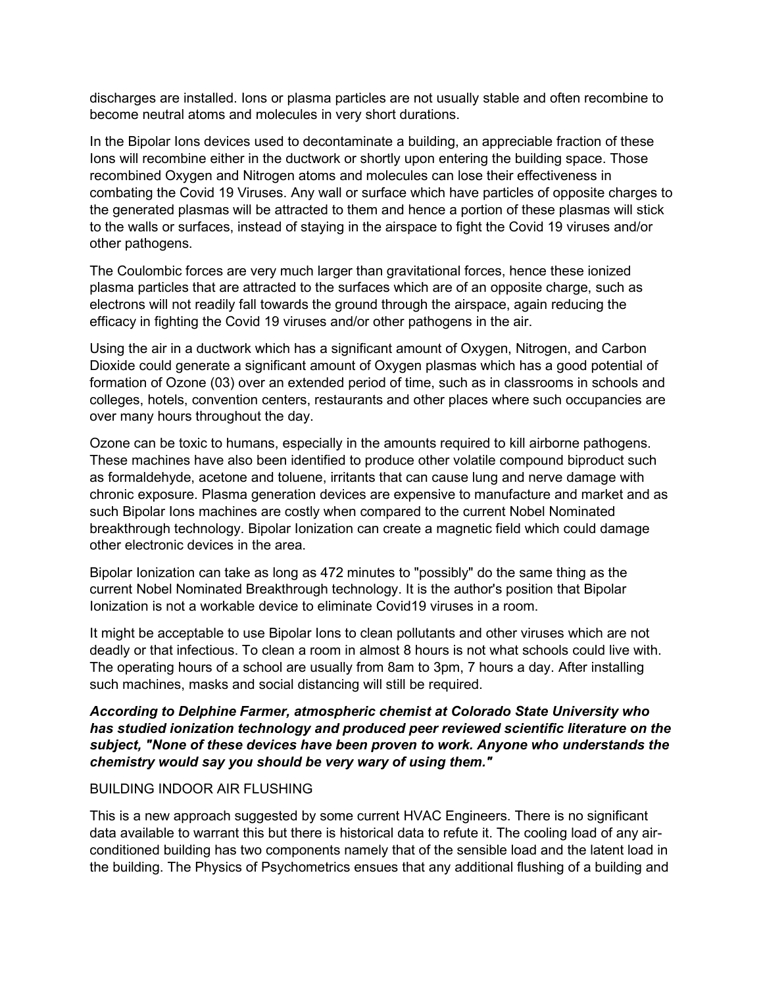discharges are installed. Ions or plasma particles are not usually stable and often recombine to become neutral atoms and molecules in very short durations.

In the Bipolar Ions devices used to decontaminate a building, an appreciable fraction of these Ions will recombine either in the ductwork or shortly upon entering the building space. Those recombined Oxygen and Nitrogen atoms and molecules can lose their effectiveness in combating the Covid 19 Viruses. Any wall or surface which have particles of opposite charges to the generated plasmas will be attracted to them and hence a portion of these plasmas will stick to the walls or surfaces, instead of staying in the airspace to fight the Covid 19 viruses and/or other pathogens.

The Coulombic forces are very much larger than gravitational forces, hence these ionized plasma particles that are attracted to the surfaces which are of an opposite charge, such as electrons will not readily fall towards the ground through the airspace, again reducing the efficacy in fighting the Covid 19 viruses and/or other pathogens in the air.

Using the air in a ductwork which has a significant amount of Oxygen, Nitrogen, and Carbon Dioxide could generate a significant amount of Oxygen plasmas which has a good potential of formation of Ozone (03) over an extended period of time, such as in classrooms in schools and colleges, hotels, convention centers, restaurants and other places where such occupancies are over many hours throughout the day.

Ozone can be toxic to humans, especially in the amounts required to kill airborne pathogens. These machines have also been identified to produce other volatile compound biproduct such as formaldehyde, acetone and toluene, irritants that can cause lung and nerve damage with chronic exposure. Plasma generation devices are expensive to manufacture and market and as such Bipolar Ions machines are costly when compared to the current Nobel Nominated breakthrough technology. Bipolar Ionization can create a magnetic field which could damage other electronic devices in the area.

Bipolar Ionization can take as long as 472 minutes to "possibly" do the same thing as the current Nobel Nominated Breakthrough technology. It is the author's position that Bipolar Ionization is not a workable device to eliminate Covid19 viruses in a room.

It might be acceptable to use Bipolar Ions to clean pollutants and other viruses which are not deadly or that infectious. To clean a room in almost 8 hours is not what schools could live with. The operating hours of a school are usually from 8am to 3pm, 7 hours a day. After installing such machines, masks and social distancing will still be required.

## *According to Delphine Farmer, atmospheric chemist at Colorado State University who has studied ionization technology and produced peer reviewed scientific literature on the subject, "None of these devices have been proven to work. Anyone who understands the chemistry would say you should be very wary of using them."*

### BUILDING INDOOR AIR FLUSHING

This is a new approach suggested by some current HVAC Engineers. There is no significant data available to warrant this but there is historical data to refute it. The cooling load of any airconditioned building has two components namely that of the sensible load and the latent load in the building. The Physics of Psychometrics ensues that any additional flushing of a building and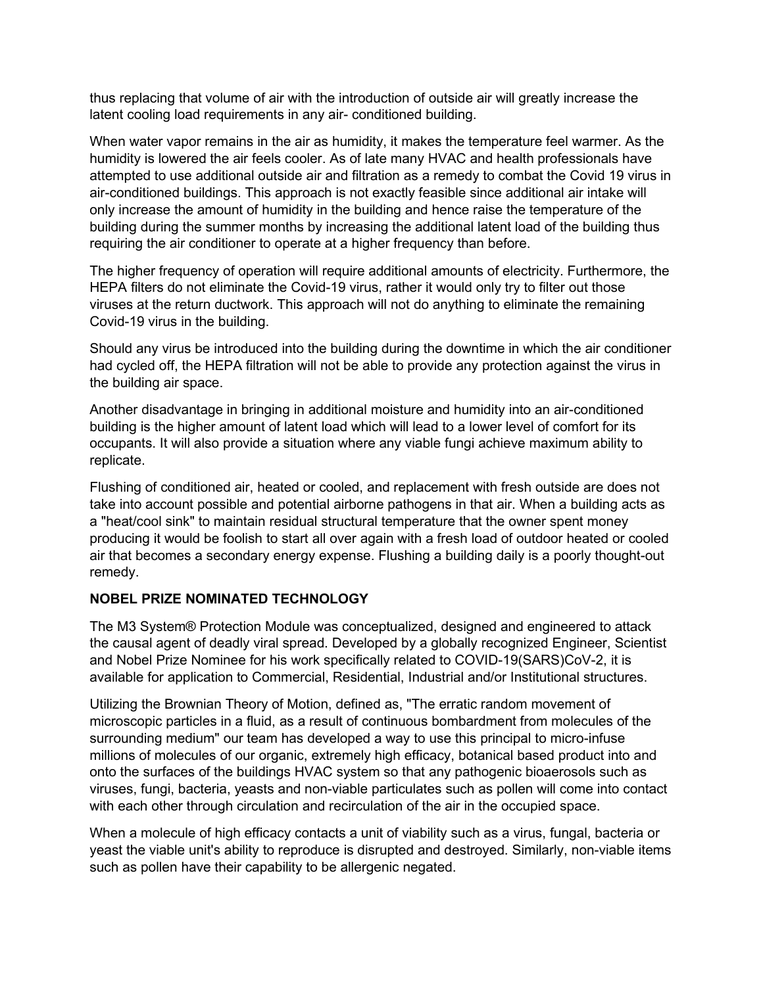thus replacing that volume of air with the introduction of outside air will greatly increase the latent cooling load requirements in any air- conditioned building.

When water vapor remains in the air as humidity, it makes the temperature feel warmer. As the humidity is lowered the air feels cooler. As of late many HVAC and health professionals have attempted to use additional outside air and filtration as a remedy to combat the Covid 19 virus in air-conditioned buildings. This approach is not exactly feasible since additional air intake will only increase the amount of humidity in the building and hence raise the temperature of the building during the summer months by increasing the additional latent load of the building thus requiring the air conditioner to operate at a higher frequency than before.

The higher frequency of operation will require additional amounts of electricity. Furthermore, the HEPA filters do not eliminate the Covid-19 virus, rather it would only try to filter out those viruses at the return ductwork. This approach will not do anything to eliminate the remaining Covid-19 virus in the building.

Should any virus be introduced into the building during the downtime in which the air conditioner had cycled off, the HEPA filtration will not be able to provide any protection against the virus in the building air space.

Another disadvantage in bringing in additional moisture and humidity into an air-conditioned building is the higher amount of latent load which will lead to a lower level of comfort for its occupants. It will also provide a situation where any viable fungi achieve maximum ability to replicate.

Flushing of conditioned air, heated or cooled, and replacement with fresh outside are does not take into account possible and potential airborne pathogens in that air. When a building acts as a "heat/cool sink" to maintain residual structural temperature that the owner spent money producing it would be foolish to start all over again with a fresh load of outdoor heated or cooled air that becomes a secondary energy expense. Flushing a building daily is a poorly thought-out remedy.

### **NOBEL PRIZE NOMINATED TECHNOLOGY**

The M3 System® Protection Module was conceptualized, designed and engineered to attack the causal agent of deadly viral spread. Developed by a globally recognized Engineer, Scientist and Nobel Prize Nominee for his work specifically related to COVID-19(SARS)CoV-2, it is available for application to Commercial, Residential, Industrial and/or Institutional structures.

Utilizing the Brownian Theory of Motion, defined as, "The erratic random movement of microscopic particles in a fluid, as a result of continuous bombardment from molecules of the surrounding medium" our team has developed a way to use this principal to micro-infuse millions of molecules of our organic, extremely high efficacy, botanical based product into and onto the surfaces of the buildings HVAC system so that any pathogenic bioaerosols such as viruses, fungi, bacteria, yeasts and non-viable particulates such as pollen will come into contact with each other through circulation and recirculation of the air in the occupied space.

When a molecule of high efficacy contacts a unit of viability such as a virus, fungal, bacteria or yeast the viable unit's ability to reproduce is disrupted and destroyed. Similarly, non-viable items such as pollen have their capability to be allergenic negated.